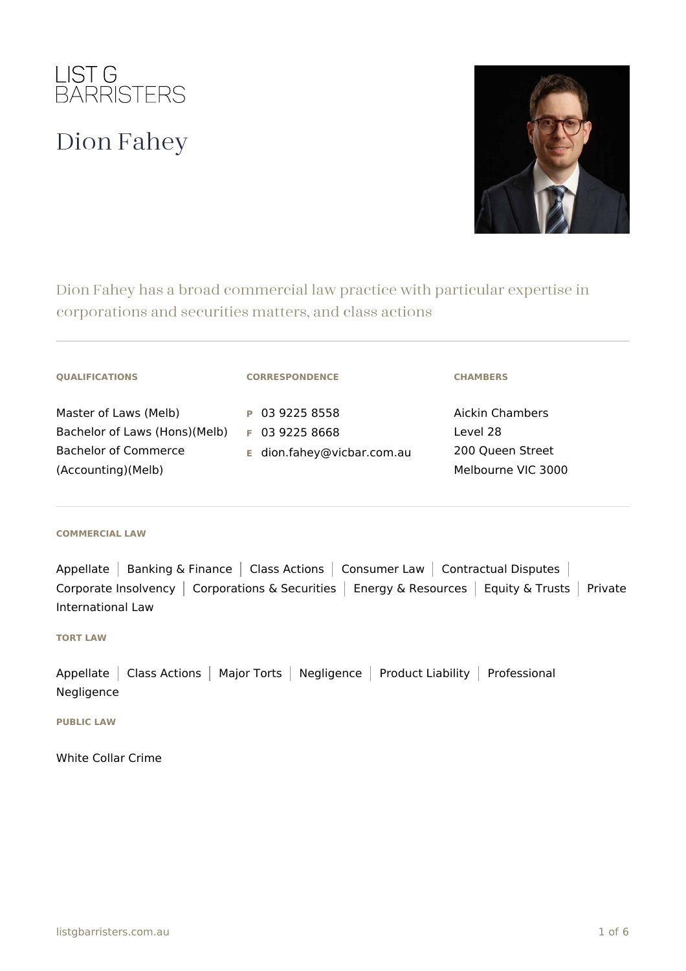

# Dion Fahey



Dion Fahey has a broad commercial law practice with particular expertise in corporations and securities matters, and class actions

|  |  |  | <b>QUALIFICATIONS</b> |
|--|--|--|-----------------------|

Master of Laws (Melb) Bachelor of Laws (Hons)(Melb) **F** 03 9225 8668 Bachelor of Commerce (Accounting)(Melb)

#### **CORRESPONDENCE**

**P** 03 9225 8558

**E** dion.fahey@vicbar.com.au

#### **CHAMBERS**

Aickin Chambers Level 28 200 Queen Street Melbourne VIC 3000

#### **COMMERCIAL LAW**

Appellate | Banking & Finance | Class Actions | Consumer Law | Contractual Disputes | Corporate Insolvency | Corporations & Securities | Energy & Resources | Equity & Trusts | Private International Law

## **TORT LAW**

Appellate | Class Actions | Major Torts | Negligence | Product Liability | Professional Negligence

#### **PUBLIC LAW**

White Collar Crime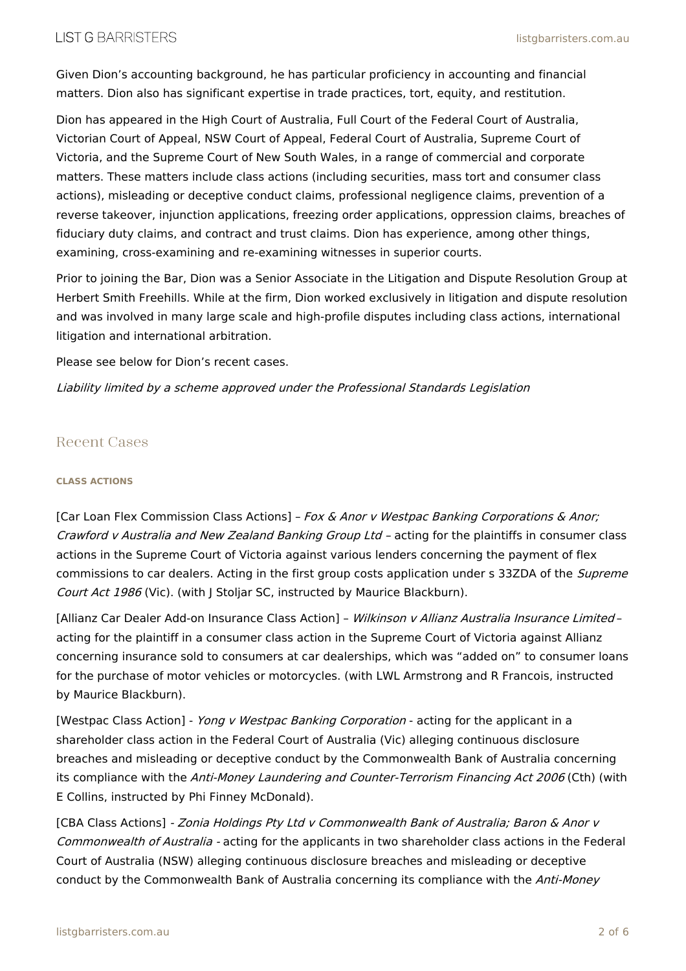Given Dion's accounting background, he has particular proficiency in accounting and financial matters. Dion also has significant expertise in trade practices, tort, equity, and restitution.

Dion has appeared in the High Court of Australia, Full Court of the Federal Court of Australia, Victorian Court of Appeal, NSW Court of Appeal, Federal Court of Australia, Supreme Court of Victoria, and the Supreme Court of New South Wales, in a range of commercial and corporate matters. These matters include class actions (including securities, mass tort and consumer class actions), misleading or deceptive conduct claims, professional negligence claims, prevention of a reverse takeover, injunction applications, freezing order applications, oppression claims, breaches of fiduciary duty claims, and contract and trust claims. Dion has experience, among other things, examining, cross-examining and re-examining witnesses in superior courts.

Prior to joining the Bar, Dion was a Senior Associate in the Litigation and Dispute Resolution Group at Herbert Smith Freehills. While at the firm, Dion worked exclusively in litigation and dispute resolution and was involved in many large scale and high-profile disputes including class actions, international litigation and international arbitration.

Please see below for Dion's recent cases.

Liability limited by <sup>a</sup> scheme approved under the Professional Standards Legislation

## Recent Cases

## **CLASS ACTIONS**

[Car Loan Flex Commission Class Actions] - Fox & Anor v Westpac Banking Corporations & Anor; Crawford <sup>v</sup> Australia and New Zealand Banking Group Ltd – acting for the plaintiffs in consumer class actions in the Supreme Court of Victoria against various lenders concerning the payment of flex commissions to car dealers. Acting in the first group costs application under s 33ZDA of the Supreme Court Act 1986 (Vic). (with J Stoljar SC, instructed by Maurice Blackburn).

[Allianz Car Dealer Add-on Insurance Class Action] - Wilkinson v Allianz Australia Insurance Limitedacting for the plaintiff in a consumer class action in the Supreme Court of Victoria against Allianz concerning insurance sold to consumers at car dealerships, which was "added on" to consumer loans for the purchase of motor vehicles or motorcycles. (with LWL Armstrong and R Francois, instructed by Maurice Blackburn).

[Westpac Class Action] - *Yong v Westpac Banking Corporation* - acting for the applicant in a shareholder class action in the Federal Court of Australia (Vic) alleging continuous disclosure breaches and misleading or deceptive conduct by the Commonwealth Bank of Australia concerning its compliance with the Anti-Money Laundering and Counter-Terrorism Financing Act 2006 (Cth) (with E Collins, instructed by Phi Finney McDonald).

[CBA Class Actions] - Zonia Holdings Pty Ltd v Commonwealth Bank of Australia; Baron & Anor v Commonwealth of Australia - acting for the applicants in two shareholder class actions in the Federal Court of Australia (NSW) alleging continuous disclosure breaches and misleading or deceptive conduct by the Commonwealth Bank of Australia concerning its compliance with the Anti-Money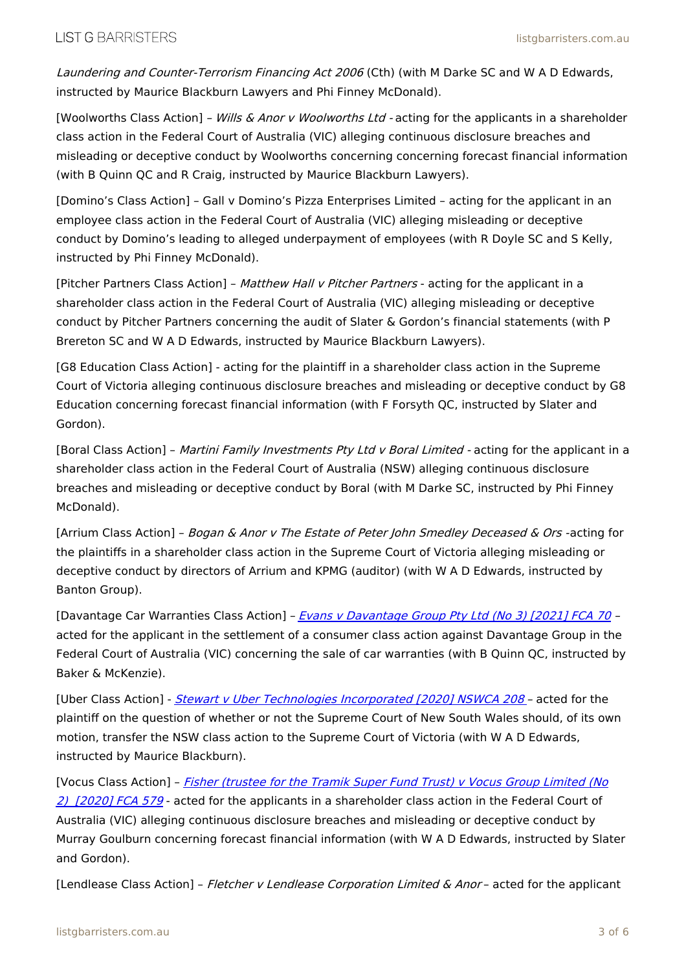Laundering and Counter-Terrorism Financing Act 2006 (Cth) (with M Darke SC and W A D Edwards, instructed by Maurice Blackburn Lawyers and Phi Finney McDonald).

[Woolworths Class Action] - Wills & Anor v Woolworths Ltd - acting for the applicants in a shareholder class action in the Federal Court of Australia (VIC) alleging continuous disclosure breaches and misleading or deceptive conduct by Woolworths concerning concerning forecast financial information (with B Quinn QC and R Craig, instructed by Maurice Blackburn Lawyers).

[Domino's Class Action] – Gall v Domino's Pizza Enterprises Limited – acting for the applicant in an employee class action in the Federal Court of Australia (VIC) alleging misleading or deceptive conduct by Domino's leading to alleged underpayment of employees (with R Doyle SC and S Kelly, instructed by Phi Finney McDonald).

[Pitcher Partners Class Action] - Matthew Hall v Pitcher Partners - acting for the applicant in a shareholder class action in the Federal Court of Australia (VIC) alleging misleading or deceptive conduct by Pitcher Partners concerning the audit of Slater & Gordon's financial statements (with P Brereton SC and W A D Edwards, instructed by Maurice Blackburn Lawyers).

[G8 Education Class Action] - acting for the plaintiff in a shareholder class action in the Supreme Court of Victoria alleging continuous disclosure breaches and misleading or deceptive conduct by G8 Education concerning forecast financial information (with F Forsyth QC, instructed by Slater and Gordon).

[Boral Class Action] - Martini Family Investments Pty Ltd v Boral Limited - acting for the applicant in a shareholder class action in the Federal Court of Australia (NSW) alleging continuous disclosure breaches and misleading or deceptive conduct by Boral (with M Darke SC, instructed by Phi Finney McDonald).

[Arrium Class Action] - Bogan & Anor v The Estate of Peter John Smedley Deceased & Ors -acting for the plaintiffs in a shareholder class action in the Supreme Court of Victoria alleging misleading or deceptive conduct by directors of Arrium and KPMG (auditor) (with W A D Edwards, instructed by Banton Group).

[Davantage Car Warranties Class Action] - Evans v Davantage Group Pty Ltd (No 3) [2021] FCA 70 acted for the applicant in the settlement of a consumer class action against Davantage Group in the Federal Court of Australia (VIC) concerning the sale of car warranties (with B Quinn QC, instructed by Baker & McKenzie).

[Uber Class Action] - Stewart v Uber Technologies Incorporated [2020] NSWCA 208 - acted for the plaintiff on the question of whether or not the Supreme Court of New South Wales should, of its own motion, transfer the NSW class action to the Supreme Court of Victoria (with W A D Edwards, instructed by Maurice Blackburn).

[Vocus Class Action] - Fisher (trustee for the Tramik Super Fund Trust) v Vocus Group Limited (No 2) [2020] FCA 579 - acted for the applicants in a shareholder class action in the Federal Court of Australia (VIC) alleging continuous disclosure breaches and misleading or deceptive conduct by Murray Goulburn concerning forecast financial information (with W A D Edwards, instructed by Slater and Gordon).

[Lendlease Class Action] - Fletcher v Lendlease Corporation Limited & Anor- acted for the applicant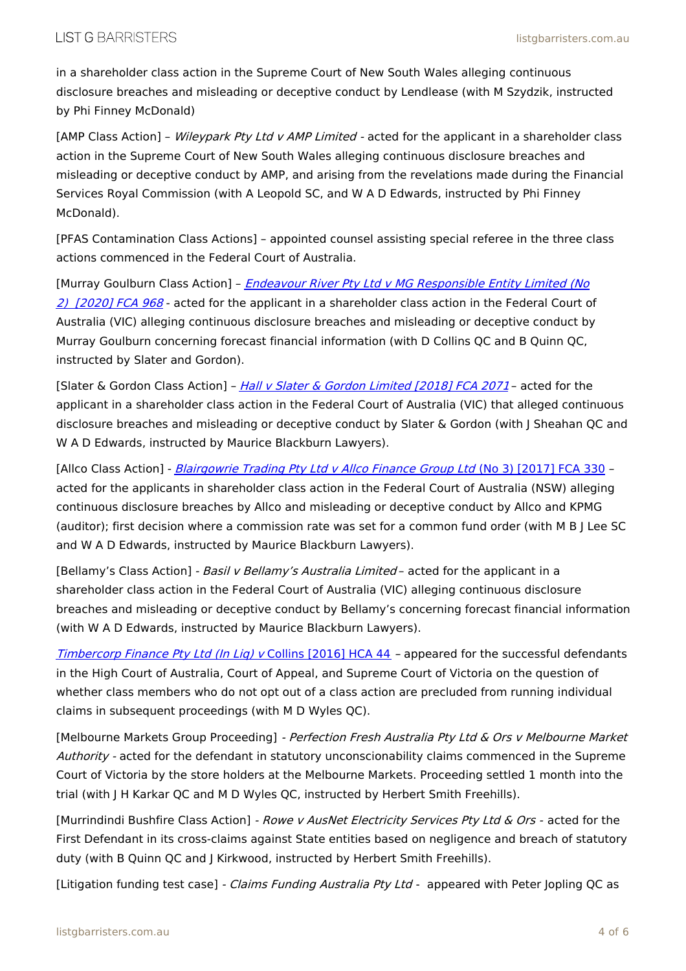in a shareholder class action in the Supreme Court of New South Wales alleging continuous disclosure breaches and misleading or deceptive conduct by Lendlease (with M Szydzik, instructed by Phi Finney McDonald)

[AMP Class Action] - Wileypark Pty Ltd v AMP Limited - acted for the applicant in a shareholder class action in the Supreme Court of New South Wales alleging continuous disclosure breaches and misleading or deceptive conduct by AMP, and arising from the revelations made during the Financial Services Royal Commission (with A Leopold SC, and W A D Edwards, instructed by Phi Finney McDonald).

[PFAS Contamination Class Actions] – appointed counsel assisting special referee in the three class actions commenced in the Federal Court of Australia.

[Murray Goulburn Class Action] - Endeavour River Pty Ltd v MG Responsible Entity Limited (No 2) [2020] FCA 968 - acted for the applicant in a shareholder class action in the Federal Court of Australia (VIC) alleging continuous disclosure breaches and misleading or deceptive conduct by Murray Goulburn concerning forecast financial information (with D Collins QC and B Quinn QC, instructed by Slater and Gordon).

[Slater & Gordon Class Action] – Hall v Slater & Gordon Limited [2018] FCA 2071- acted for the applicant in a shareholder class action in the Federal Court of Australia (VIC) that alleged continuous disclosure breaches and misleading or deceptive conduct by Slater & Gordon (with J Sheahan QC and W A D Edwards, instructed by Maurice Blackburn Lawyers).

[Allco Class Action] - Blairgowrie Trading Pty Ltd <sup>v</sup> Allco Finance Group Ltd (No 3) [2017] FCA 330 – acted for the applicants in shareholder class action in the Federal Court of Australia (NSW) alleging continuous disclosure breaches by Allco and misleading or deceptive conduct by Allco and KPMG (auditor); first decision where a commission rate was set for a common fund order (with M B J Lee SC and W A D Edwards, instructed by Maurice Blackburn Lawyers).

[Bellamy's Class Action] - Basil v Bellamy's Australia Limited - acted for the applicant in a shareholder class action in the Federal Court of Australia (VIC) alleging continuous disclosure breaches and misleading or deceptive conduct by Bellamy's concerning forecast financial information (with W A D Edwards, instructed by Maurice Blackburn Lawyers).

Timbercorp Finance Pty Ltd (In Lig) v Collins [2016] HCA 44 - appeared for the successful defendants in the High Court of Australia, Court of Appeal, and Supreme Court of Victoria on the question of whether class members who do not opt out of a class action are precluded from running individual claims in subsequent proceedings (with M D Wyles QC).

[Melbourne Markets Group Proceeding] - Perfection Fresh Australia Pty Ltd & Ors v Melbourne Market Authority - acted for the defendant in statutory unconscionability claims commenced in the Supreme Court of Victoria by the store holders at the Melbourne Markets. Proceeding settled 1 month into the trial (with J H Karkar QC and M D Wyles QC, instructed by Herbert Smith Freehills).

[Murrindindi Bushfire Class Action] - Rowe v AusNet Electricity Services Pty Ltd & Ors - acted for the First Defendant in its cross-claims against State entities based on negligence and breach of statutory duty (with B Quinn QC and J Kirkwood, instructed by Herbert Smith Freehills).

[Litigation funding test case] - Claims Funding Australia Pty Ltd - appeared with Peter Jopling QC as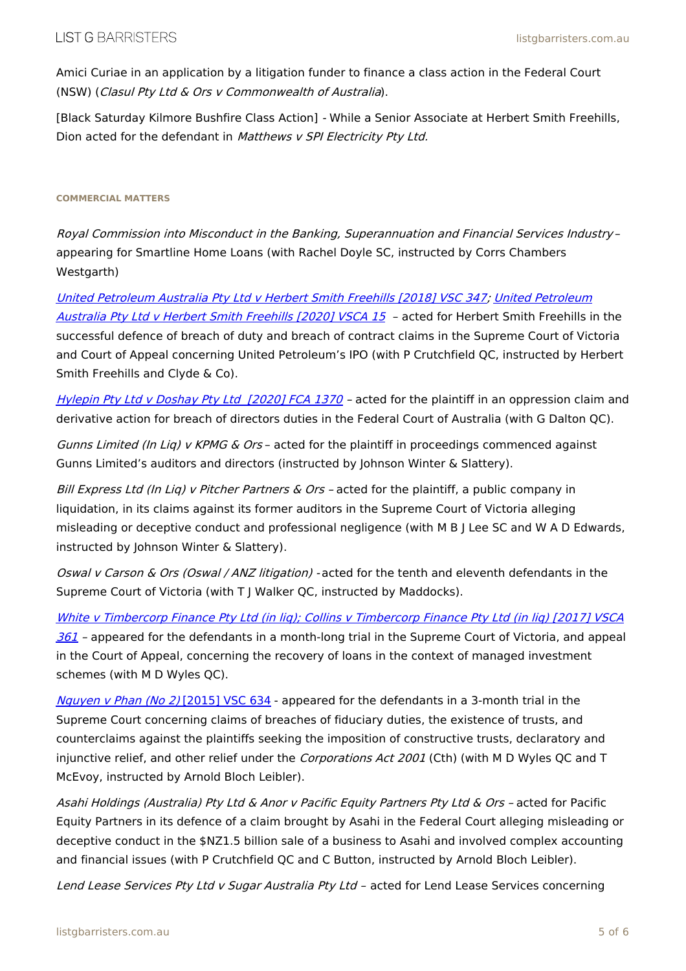Amici Curiae in an application by a litigation funder to finance a class action in the Federal Court (NSW) (Clasul Pty Ltd & Ors <sup>v</sup> Commonwealth of Australia).

[Black Saturday Kilmore Bushfire Class Action] - While a Senior Associate at Herbert Smith Freehills, Dion acted for the defendant in Matthews v SPI Electricity Pty Ltd.

### **COMMERCIAL MATTERS**

Royal Commission into Misconduct in the Banking, Superannuation and Financial Services Industry – appearing for Smartline Home Loans (with Rachel Doyle SC, instructed by Corrs Chambers Westgarth)

United Petroleum Australia Pty Ltd <sup>v</sup> Herbert Smith Freehills [2018] VSC 347; United Petroleum Australia Pty Ltd v Herbert Smith Freehills [2020] VSCA 15 - acted for Herbert Smith Freehills in the successful defence of breach of duty and breach of contract claims in the Supreme Court of Victoria and Court of Appeal concerning United Petroleum's IPO (with P Crutchfield QC, instructed by Herbert Smith Freehills and Clyde & Co).

Hylepin Pty Ltd v Doshay Pty Ltd [2020] FCA 1370 - acted for the plaintiff in an oppression claim and derivative action for breach of directors duties in the Federal Court of Australia (with G Dalton QC).

Gunns Limited (In Lig) v KPMG & Ors - acted for the plaintiff in proceedings commenced against Gunns Limited's auditors and directors (instructed by Johnson Winter & Slattery).

Bill Express Ltd (In Liq) v Pitcher Partners  $\&$  Ors - acted for the plaintiff, a public company in liquidation, in its claims against its former auditors in the Supreme Court of Victoria alleging misleading or deceptive conduct and professional negligence (with M B J Lee SC and W A D Edwards, instructed by Johnson Winter & Slattery).

Oswal v Carson & Ors (Oswal / ANZ litigation) - acted for the tenth and eleventh defendants in the Supreme Court of Victoria (with T J Walker QC, instructed by Maddocks).

White <sup>v</sup> Timbercorp Finance Pty Ltd (in liq); Collins <sup>v</sup> Timbercorp Finance Pty Ltd (in liq) [2017] VSCA 361 – appeared for the defendants in a month-long trial in the Supreme Court of Victoria, and appeal in the Court of Appeal, concerning the recovery of loans in the context of managed investment schemes (with M D Wyles QC).

Nguyen v Phan (No 2) [2015] VSC 634 - appeared for the defendants in a 3-month trial in the Supreme Court concerning claims of breaches of fiduciary duties, the existence of trusts, and counterclaims against the plaintiffs seeking the imposition of constructive trusts, declaratory and injunctive relief, and other relief under the *Corporations Act 2001* (Cth) (with M D Wyles QC and T McEvoy, instructed by Arnold Bloch Leibler).

Asahi Holdings (Australia) Pty Ltd & Anor <sup>v</sup> Pacific Equity Partners Pty Ltd & Ors – acted for Pacific Equity Partners in its defence of a claim brought by Asahi in the Federal Court alleging misleading or deceptive conduct in the \$NZ1.5 billion sale of a business to Asahi and involved complex accounting and financial issues (with P Crutchfield QC and C Button, instructed by Arnold Bloch Leibler).

Lend Lease Services Pty Ltd v Sugar Australia Pty Ltd - acted for Lend Lease Services concerning